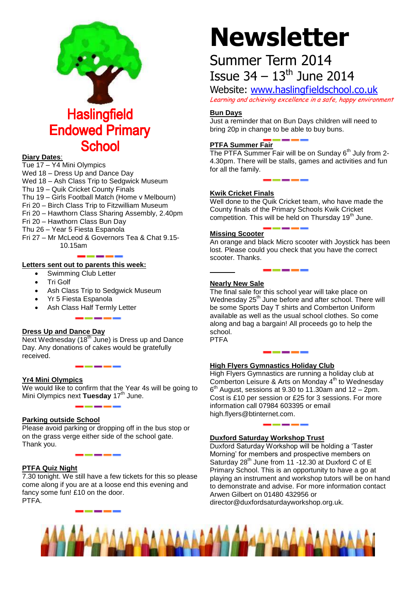

#### **Diary Dates**:

Tue 17 – Y4 Mini Olympics Wed 18 – Dress Up and Dance Day Wed 18 – Ash Class Trip to Sedgwick Museum Thu 19 – Quik Cricket County Finals Thu 19 – Girls Football Match (Home v Melbourn) Fri 20 – Birch Class Trip to Fitzwilliam Museum Fri 20 – Hawthorn Class Sharing Assembly, 2.40pm Fri 20 – Hawthorn Class Bun Day Thu 26 – Year 5 Fiesta Espanola Fri 27 – Mr McLeod & Governors Tea & Chat 9.15- 10.15am

#### **Letters sent out to parents this week:**

- Swimming Club Letter
- Tri Golf
- Ash Class Trip to Sedgwick Museum
- Yr 5 Fiesta Espanola
- Ash Class Half Termly Letter

#### **Dress Up and Dance Day**

Next Wednesday (18<sup>th</sup> June) is Dress up and Dance Day. Any donations of cakes would be gratefully received.

#### **Yr4 Mini Olympics**

We would like to confirm that the Year 4s will be going to Mini Olympics next Tuesday 17<sup>th</sup> June.

#### **Parking outside School**

Please avoid parking or dropping off in the bus stop or on the grass verge either side of the school gate. Thank you.

#### **PTFA Quiz Night**

7.30 tonight. We still have a few tickets for this so please come along if you are at a loose end this evening and fancy some fun! £10 on the door. PTFA.

# **Newsletter**

## Summer Term 2014 **Issue 34 – 13th June 2014**

Website: [www.haslingfieldschool.co.uk](http://www.haslingfieldschool.co.uk/) Learning and achieving excellence in a safe, happy environment

#### **Bun Days**

Just a reminder that on Bun Days children will need to bring 20p in change to be able to buy buns.

#### **PTFA Summer Fair**

The PTFA Summer Fair will be on Sunday 6<sup>th</sup> July from 2-4.30pm. There will be stalls, games and activities and fun for all the family.

#### **Kwik Cricket Finals**

Well done to the Quik Cricket team, who have made the County finals of the Primary Schools Kwik Cricket competition. This will be held on Thursday 19<sup>th</sup> June.

#### **Missing Scooter**

An orange and black Micro scooter with Joystick has been lost. Please could you check that you have the correct scooter. Thanks.

#### **Nearly New Sale**

The final sale for this school year will take place on Wednesday 25<sup>th</sup> June before and after school. There will be some Sports Day T shirts and Comberton Uniform available as well as the usual school clothes. So come along and bag a bargain! All proceeds go to help the school. PTFA

#### **High Flyers Gymnastics Holiday Club**

High Flyers Gymnastics are running a holiday club at Comberton Leisure & Arts on Monday 4<sup>th</sup> to Wednesday  $6<sup>th</sup>$  August, sessions at 9.30 to 11.30am and 12 – 2pm. Cost is £10 per session or £25 for 3 sessions. For more information call 07984 603395 or email high.flyers@btinternet.com.

#### **Duxford Saturday Workshop Trust**

Duxford Saturday Workshop will be holding a 'Taster Morning' for members and prospective members on Saturday 28<sup>th</sup> June from 11 -12.30 at Duxford C of E Primary School. This is an opportunity to have a go at playing an instrument and workshop tutors will be on hand to demonstrate and advise. For more information contact Arwen Gilbert on 01480 432956 or director@duxfordsaturdayworkshop.org.uk.

ï